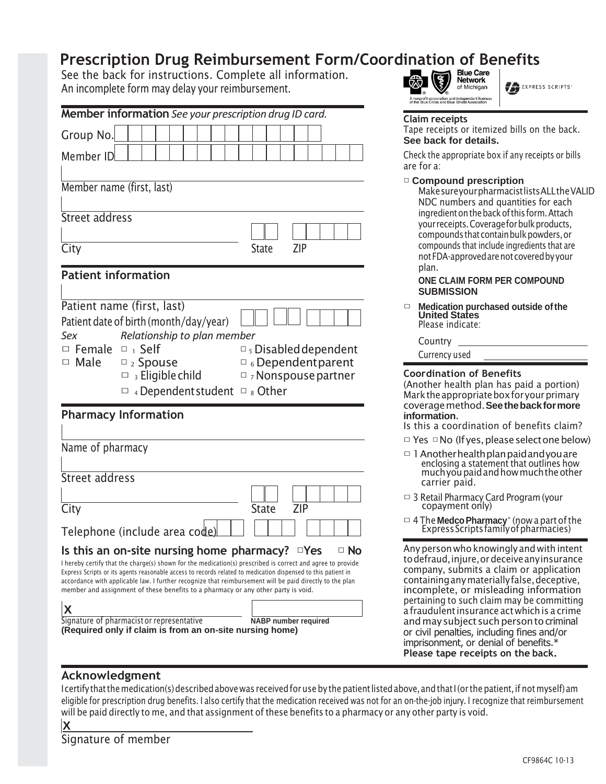# **Prescription Drug Reimbursement Form/Coordination of Benefits**<br>See the back for instructions. Complete all information.

See the back for instructions. Complete all information. An incomplete form may delay your reimbursement.

| Member information See your prescription drug ID card.                                                                                                                                                                                                                                                                                                                                                                       | <b>Claim receipts</b>                                                      |
|------------------------------------------------------------------------------------------------------------------------------------------------------------------------------------------------------------------------------------------------------------------------------------------------------------------------------------------------------------------------------------------------------------------------------|----------------------------------------------------------------------------|
| Group No.                                                                                                                                                                                                                                                                                                                                                                                                                    | Tape receipts of<br>See back for o                                         |
| Member ID                                                                                                                                                                                                                                                                                                                                                                                                                    | Check the approp<br>are for a:                                             |
| Member name (first, last)                                                                                                                                                                                                                                                                                                                                                                                                    | □ Compound<br>Make sure yo<br>NDC numbe                                    |
| Street address                                                                                                                                                                                                                                                                                                                                                                                                               | ingredient on<br>your receipts.                                            |
|                                                                                                                                                                                                                                                                                                                                                                                                                              | compounds t<br>compounds th                                                |
| <b>ZIP</b><br>City<br><b>State</b>                                                                                                                                                                                                                                                                                                                                                                                           | not FDA-appr                                                               |
| <b>Patient information</b>                                                                                                                                                                                                                                                                                                                                                                                                   | plan.<br><b>ONE CLAIM</b>                                                  |
|                                                                                                                                                                                                                                                                                                                                                                                                                              | <b>SUBMISSIO</b>                                                           |
| Patient name (first, last)<br>Patient date of birth (month/day/year)                                                                                                                                                                                                                                                                                                                                                         | Medication (<br>$\Box$<br><b>United Stat</b><br>Please indica              |
| Relationship to plan member<br>Sex<br>$\Box$ Female $\Box$ Self                                                                                                                                                                                                                                                                                                                                                              | Country                                                                    |
| $\Box$ s Disabled dependent<br>$\Box$ Male<br>$\square$ <sub>2</sub> Spouse<br>$\Box$ 6 Dependent parent                                                                                                                                                                                                                                                                                                                     | Currency use                                                               |
| $\Box$ 3 Eligible child<br>$\Box$ 7 Nonspouse partner<br>$\Box$ 4 Dependent student $\Box$ 8 Other                                                                                                                                                                                                                                                                                                                           | Coordination<br>(Another healt)<br>Mark the appro<br>coverage meth         |
| <b>Pharmacy Information</b>                                                                                                                                                                                                                                                                                                                                                                                                  | information.<br>Is this a coord                                            |
| Name of pharmacy                                                                                                                                                                                                                                                                                                                                                                                                             | □ Yes □ No (If                                                             |
| Street address                                                                                                                                                                                                                                                                                                                                                                                                               | $\Box$ 1 Another he<br>enclosing a<br>much you p                           |
| <b>State</b><br>City<br><b>ZIP</b>                                                                                                                                                                                                                                                                                                                                                                                           | carrier pai<br>$\Box$ 3 Retail Pharn<br>copayment                          |
| Telephone (include area code)                                                                                                                                                                                                                                                                                                                                                                                                | $\Box$ 4 The Medcol<br>Express Scr                                         |
| Is this an on-site nursing home pharmacy? $\Box$ Yes<br>$\Box$ No                                                                                                                                                                                                                                                                                                                                                            | Any person wh                                                              |
| I hereby certify that the charge(s) shown for the medication(s) prescribed is correct and agree to provide<br>Express Scripts or its agents reasonable access to records related to medication dispensed to this patient in<br>accordance with applicable law. I further recognize that reimbursement will be paid directly to the plan<br>member and assignment of these benefits to a pharmacy or any other party is void. | to defraud, inju<br>company, subr<br>containing any<br>incomplete, o       |
| X<br>Signature of pharmacist or representative<br><b>NABP</b> number required<br>(Required only if claim is from an on-site nursing home)                                                                                                                                                                                                                                                                                    | pertaining to su<br>a fraudulent ins<br>and may subje<br>or civil penaltie |
|                                                                                                                                                                                                                                                                                                                                                                                                                              | imprisonment,                                                              |

## of Michigan

**FALL** EXPRESS SCRIPTS<sup>®</sup>

Tape receipts or itemized bills on the back. **See back for details.**

Check the appropriate box if any receipts or bills are for a:

#### □ **Compound prescription**

MakesureyourpharmacistlistsALLtheVALID NDC numbers and quantities for each ingredient on the back of this form. Attach your receipts. Coverage for bulk products, compounds that contain bulk powders, or compounds that include ingredients that are notFDA-approvedarenotcoveredby your plan.

#### **ONE CLAIM FORM PER COMPOUND SUBMISSION**

□ **Medication purchased outside ofthe United States** Please indicate:

#### Country

Currency used

#### **Coordination of Benefits**

(Another health plan has paid a portion) Marktheappropriateboxforyourprimary coveragemethod.**Seethebackformore information**.

Is this a coordination of benefits claim?

- □ Yes □ No (If yes, please select one below)
- $\Box$  1 Another health plan paid and you are enclosing a statement that outlines how much you paid and how much the other carrier paid.
- □ 3 Retail Pharmacy Card Program (your copayment only)
- □ 4The **MedcoPharmacy**® (nowa partofthe ExpressScriptsfamilyofpharmacies)

Anypersonwho knowingly and with intent todefraud,injure,ordeceiveanyinsurance company, submits a claim or application containinganymateriallyfalse,deceptive, incomplete, or misleading information pertaining to such claim may be committing a fraudulentinsurance actwhichis a crime and may subject such person to criminal or civil penalties, including fines and/or imprisonment, or denial of benefits.\* **Please tape receipts on the back.**

#### **Acknowledgment**

I certify that the medication(s) described above was received for use by the patient listed above, and that I (or the patient, if not myself) am eligible for prescription drug benefits. I also certify that the medication received was not for an on-the-job injury. I recognize that reimbursement will be paid directly to me, and that assignment of these benefits to a pharmacy or any other party is void.

Signature of member

**X**